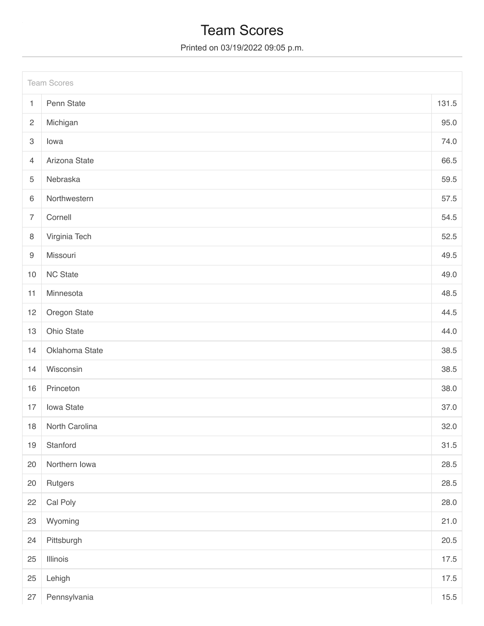# Team Scores

Printed on 03/19/2022 09:05 p.m.

|                           | <b>Team Scores</b> |       |
|---------------------------|--------------------|-------|
| $\mathbf{1}$              | Penn State         | 131.5 |
| $\mathbf{2}$              | Michigan           | 95.0  |
| $\ensuremath{\mathsf{3}}$ | lowa               | 74.0  |
| $\overline{4}$            | Arizona State      | 66.5  |
| 5                         | Nebraska           | 59.5  |
| $\,6\,$                   | Northwestern       | 57.5  |
| $\overline{7}$            | Cornell            | 54.5  |
| $\,8\,$                   | Virginia Tech      | 52.5  |
| $\boldsymbol{9}$          | Missouri           | 49.5  |
| $10$                      | <b>NC State</b>    | 49.0  |
| 11                        | Minnesota          | 48.5  |
| 12                        | Oregon State       | 44.5  |
| 13                        | Ohio State         | 44.0  |
| 14                        | Oklahoma State     | 38.5  |
| 14                        | Wisconsin          | 38.5  |
| 16                        | Princeton          | 38.0  |
| 17                        | Iowa State         | 37.0  |
| 18                        | North Carolina     | 32.0  |
| 19                        | Stanford           | 31.5  |
| 20                        | Northern Iowa      | 28.5  |
| 20                        | Rutgers            | 28.5  |
| 22                        | Cal Poly           | 28.0  |
| 23                        | Wyoming            | 21.0  |
| 24                        | Pittsburgh         | 20.5  |
| 25                        | Illinois           | 17.5  |
| 25                        | Lehigh             | 17.5  |
| 27                        | Pennsylvania       | 15.5  |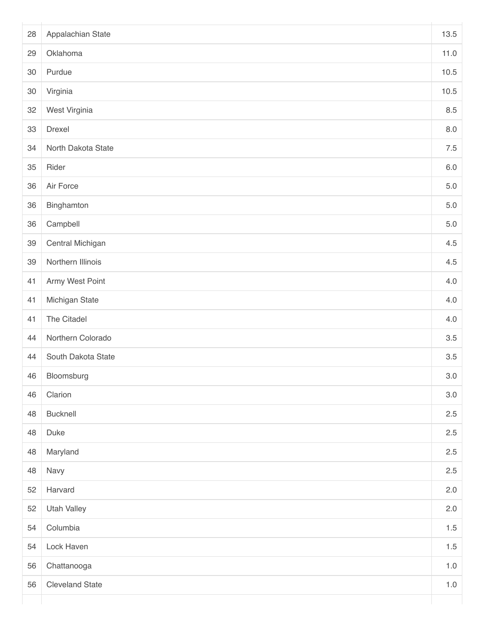| 28 | Appalachian State      | 13.5    |
|----|------------------------|---------|
| 29 | Oklahoma               | 11.0    |
| 30 | Purdue                 | 10.5    |
| 30 | Virginia               | 10.5    |
| 32 | West Virginia          | 8.5     |
| 33 | Drexel                 | $8.0\,$ |
| 34 | North Dakota State     | $7.5\,$ |
| 35 | Rider                  | $6.0\,$ |
| 36 | Air Force              | $5.0\,$ |
| 36 | Binghamton             | $5.0\,$ |
| 36 | Campbell               | $5.0\,$ |
| 39 | Central Michigan       | 4.5     |
| 39 | Northern Illinois      | 4.5     |
| 41 | Army West Point        | 4.0     |
| 41 | Michigan State         | 4.0     |
| 41 | The Citadel            | 4.0     |
| 44 | Northern Colorado      | 3.5     |
| 44 | South Dakota State     | 3.5     |
| 46 | Bloomsburg             | 3.0     |
| 46 | Clarion                | $3.0\,$ |
| 48 | Bucknell               | 2.5     |
| 48 | Duke                   | 2.5     |
| 48 | Maryland               | 2.5     |
| 48 | Navy                   | 2.5     |
| 52 | Harvard                | 2.0     |
| 52 | <b>Utah Valley</b>     | 2.0     |
| 54 | Columbia               | $1.5\,$ |
| 54 | Lock Haven             | $1.5\,$ |
| 56 | Chattanooga            | $1.0\,$ |
| 56 | <b>Cleveland State</b> | $1.0\,$ |
|    |                        |         |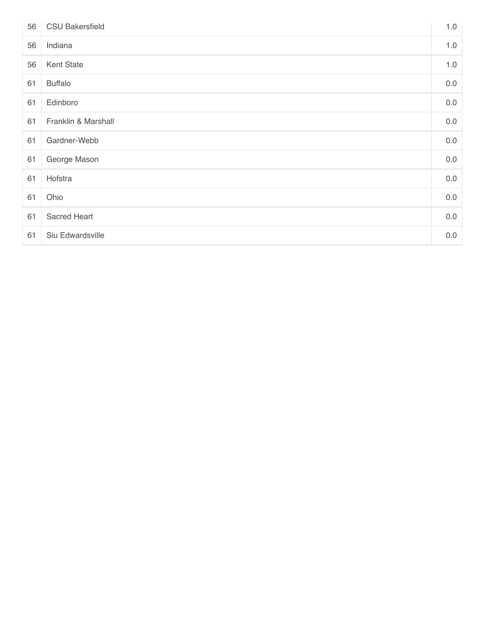| 56 | <b>CSU Bakersfield</b> | 1.0 |
|----|------------------------|-----|
| 56 | Indiana                | 1.0 |
| 56 | Kent State             | 1.0 |
| 61 | <b>Buffalo</b>         | 0.0 |
| 61 | Edinboro               | 0.0 |
| 61 | Franklin & Marshall    | 0.0 |
| 61 | Gardner-Webb           | 0.0 |
| 61 | George Mason           | 0.0 |
| 61 | Hofstra                | 0.0 |
| 61 | Ohio                   | 0.0 |
| 61 | Sacred Heart           | 0.0 |
| 61 | Siu Edwardsville       | 0.0 |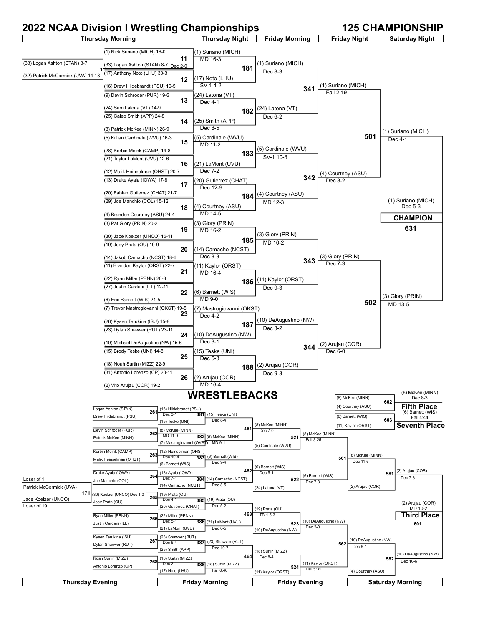# **2022 NCAA Division I Wrestling Championships 125 CHAMPIONSHIP**

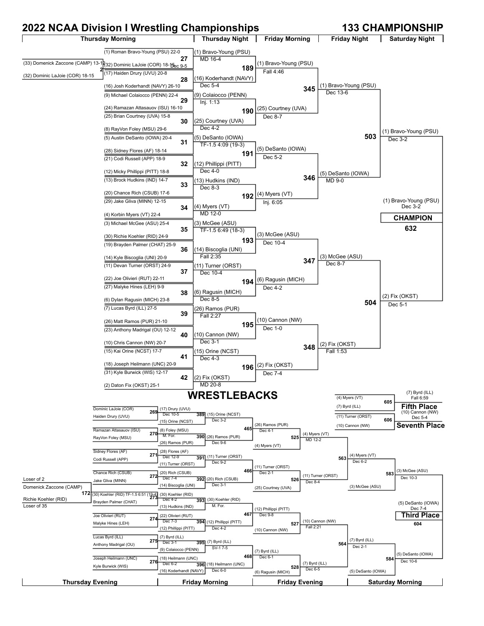# **2022 NCAA Division I Wrestling Championships 133 CHAMPIONSHIP**

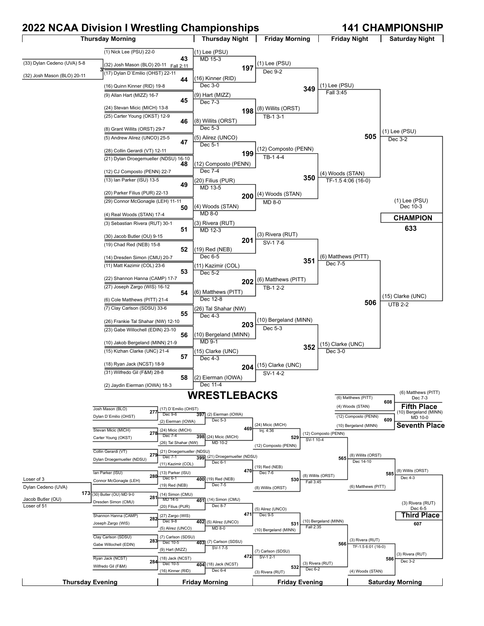# **2022 NCAA Division I Wrestling Championships 141 CHAMPIONSHIP**

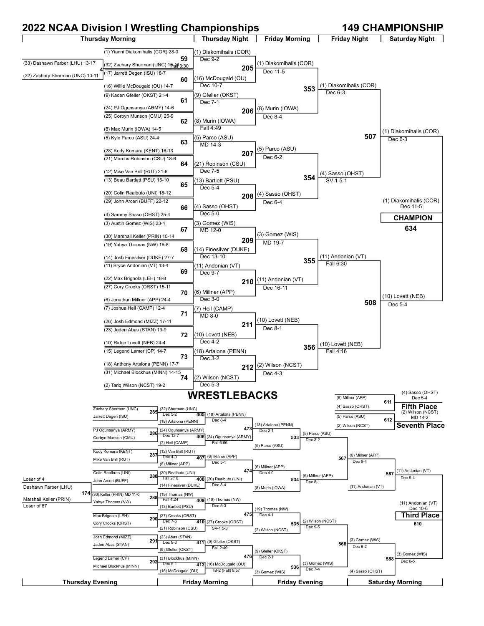# **2022 NCAA Division I Wrestling Championships 149 CHAMPIONSHIP**

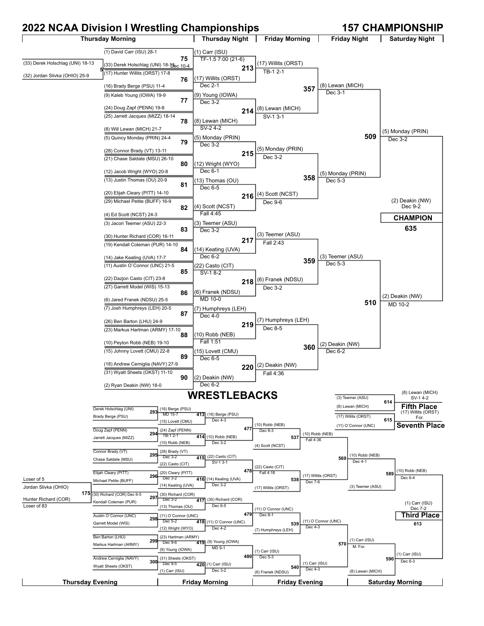# **2022 NCAA Division I Wrestling Championships 157 CHAMPIONSHIP**

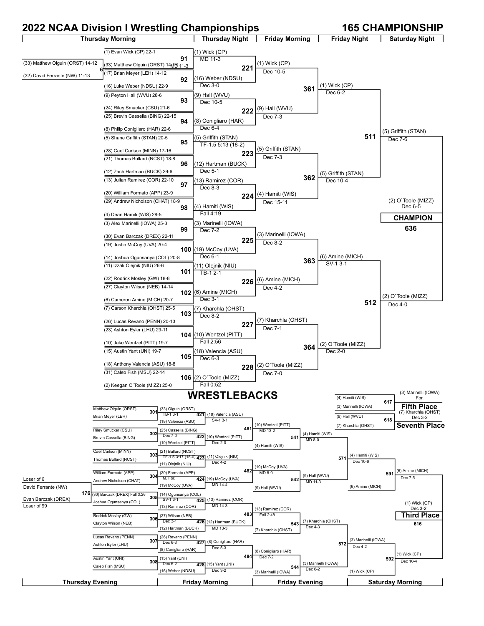## **2022 NCAA Division I Wrestling Championships 165 CHAMPIONSHIP**

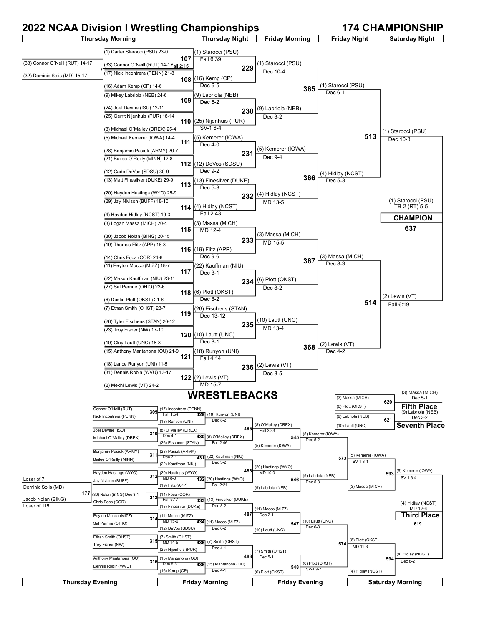## **2022 NCAA Division I Wrestling Championships 174 CHAMPIONSHIP**

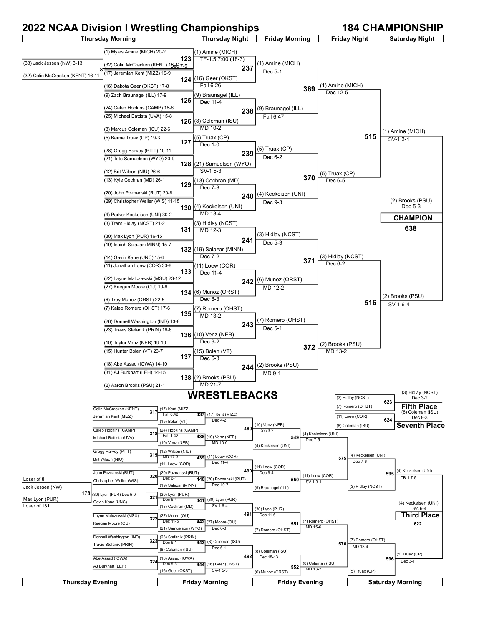### **2022 NCAA Division I Wrestling Championships 184 CHAMPIONSHIP**

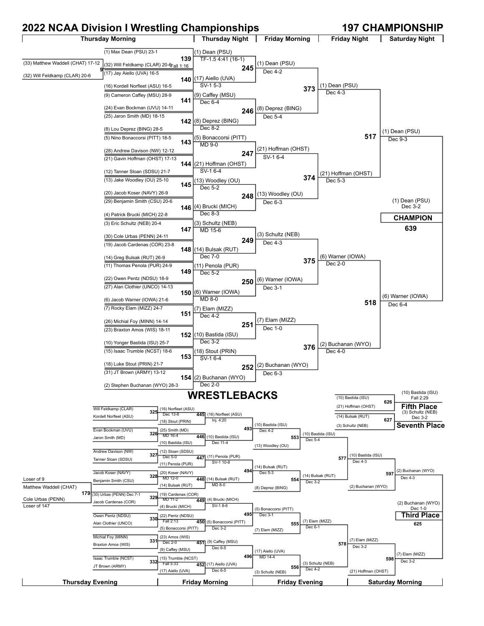## **2022 NCAA Division I Wrestling Championships 197 CHAMPIONSHIP**